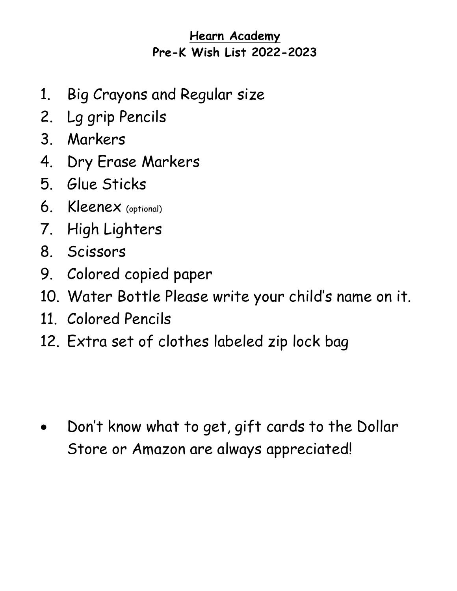# **Hearn Academy Pre-K Wish List 2022-2023**

- 1. Big Crayons and Regular size
- 2. Lg grip Pencils
- 3. Markers
- 4. Dry Erase Markers
- 5. Glue Sticks
- 6. Kleenex (optional)
- 7. High Lighters
- 8. Scissors
- 9. Colored copied paper
- 10. Water Bottle Please write your child's name on it.
- 11. Colored Pencils
- 12. Extra set of clothes labeled zip lock bag

• Don't know what to get, gift cards to the Dollar Store or Amazon are always appreciated!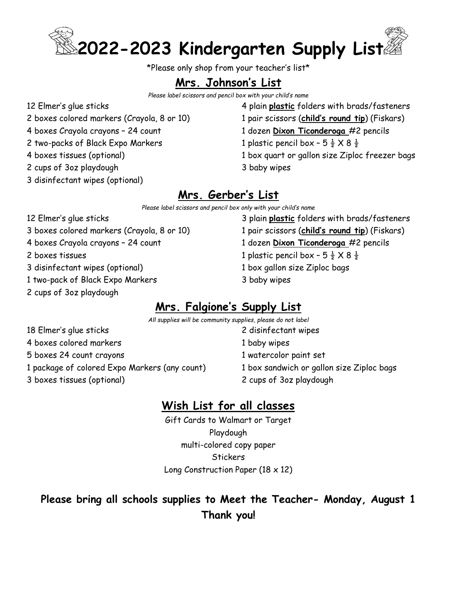

\*Please only shop from your teacher's list\*

## **Mrs. Johnson's List**

*Please label scissors and pencil box with your child's name*

12 Elmer's glue sticks 2 boxes colored markers (Crayola, 8 or 10) 4 boxes Crayola crayons – 24 count

2 two-packs of Black Expo Markers

- 4 boxes tissues (optional)
- 2 cups of 3oz playdough
- 3 disinfectant wipes (optional)

### 4 plain **plastic** folders with brads/fasteners 1 pair scissors (**child's round tip**) (Fiskars) 1 dozen **Dixon Ticonderoga** #2 pencils 1 plastic pencil box - 5  $\frac{1}{2}$  X 8  $\frac{1}{2}$ 1 box quart or gallon size Ziploc freezer bags

3 baby wipes

## **Mrs. Gerber's List**

*Please label scissors and pencil box only with your child's name* 

- 12 Elmer's glue sticks 3 boxes colored markers (Crayola, 8 or 10) 4 boxes Crayola crayons – 24 count 2 boxes tissues 3 disinfectant wipes (optional) 1 two-pack of Black Expo Markers 2 cups of 3oz playdough
- 3 plain **plastic** folders with brads/fasteners 1 pair scissors (**child's round tip**) (Fiskars) 1 dozen **Dixon Ticonderoga** #2 pencils 1 plastic pencil box -  $5\frac{1}{2} \times 8\frac{1}{2}$ 1 box gallon size Ziploc bags 3 baby wipes

## **Mrs. Falgione's Supply List**

*All supplies will be community supplies, please do not label*

- 18 Elmer's glue sticks 4 boxes colored markers 5 boxes 24 count crayons 1 package of colored Expo Markers (any count) 3 boxes tissues (optional)
- 2 disinfectant wipes
- 1 baby wipes
- 1 watercolor paint set
- 1 box sandwich or gallon size Ziploc bags
- 2 cups of 3oz playdough

## **Wish List for all classes**

Gift Cards to Walmart or Target Playdough multi-colored copy paper **Stickers** Long Construction Paper (18 x 12)

## **Please bring all schools supplies to Meet the Teacher- Monday, August 1 Thank you!**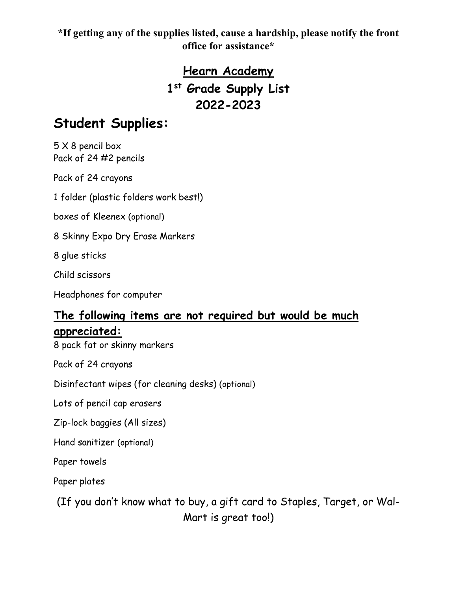# **Hearn Academy 1st Grade Supply List 2022-2023**

# **Student Supplies:**

5 X 8 pencil box Pack of 24 #2 pencils

Pack of 24 crayons

1 folder (plastic folders work best!)

boxes of Kleenex (optional)

8 Skinny Expo Dry Erase Markers

8 glue sticks

Child scissors

Headphones for computer

## **The following items are not required but would be much appreciated:**

8 pack fat or skinny markers

Pack of 24 crayons

Disinfectant wipes (for cleaning desks) (optional)

Lots of pencil cap erasers

Zip-lock baggies (All sizes)

Hand sanitizer (optional)

Paper towels

Paper plates

(If you don't know what to buy, a gift card to Staples, Target, or Wal-Mart is great too!)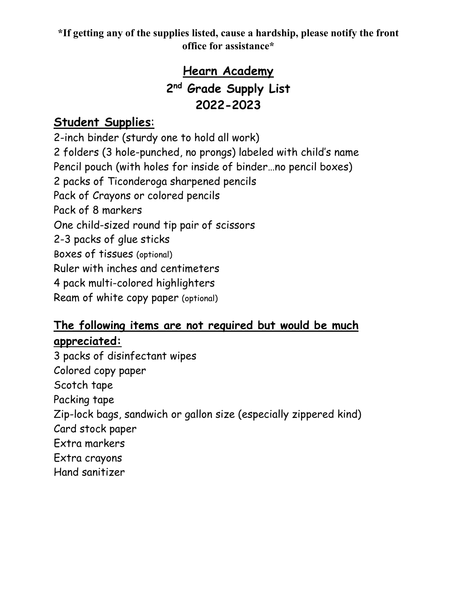# **Hearn Academy 2nd Grade Supply List 2022-2023**

## **Student Supplies**:

2-inch binder (sturdy one to hold all work) 2 folders (3 hole-punched, no prongs) labeled with child's name Pencil pouch (with holes for inside of binder…no pencil boxes) 2 packs of Ticonderoga sharpened pencils Pack of Crayons or colored pencils Pack of 8 markers One child-sized round tip pair of scissors 2-3 packs of glue sticks Boxes of tissues (optional) Ruler with inches and centimeters 4 pack multi-colored highlighters Ream of white copy paper (optional)

## **The following items are not required but would be much appreciated:**

3 packs of disinfectant wipes Colored copy paper Scotch tape Packing tape Zip-lock bags, sandwich or gallon size (especially zippered kind) Card stock paper Extra markers Extra crayons Hand sanitizer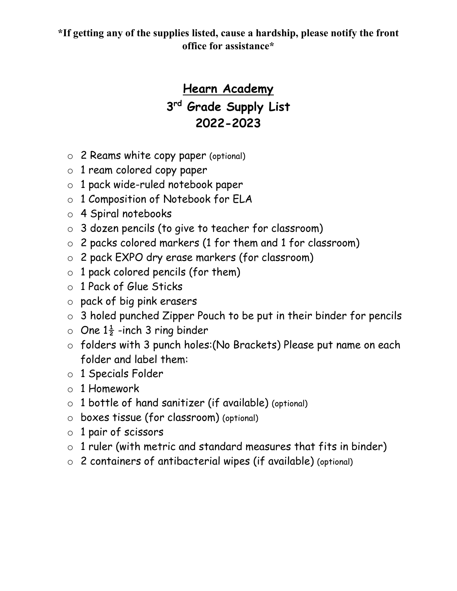# **Hearn Academy 3rd Grade Supply List 2022-2023**

- o 2 Reams white copy paper (optional)
- o 1 ream colored copy paper
- o 1 pack wide-ruled notebook paper
- o 1 Composition of Notebook for ELA
- o 4 Spiral notebooks
- o 3 dozen pencils (to give to teacher for classroom)
- o 2 packs colored markers (1 for them and 1 for classroom)
- o 2 pack EXPO dry erase markers (for classroom)
- $\circ$  1 pack colored pencils (for them)
- o 1 Pack of Glue Sticks
- o pack of big pink erasers
- o 3 holed punched Zipper Pouch to be put in their binder for pencils
- $\circ$  One 1 $\frac{1}{2}$  -inch 3 ring binder
- o folders with 3 punch holes:(No Brackets) Please put name on each folder and label them:
- o 1 Specials Folder
- o 1 Homework
- $\circ$  1 bottle of hand sanitizer (if available) (optional)
- o boxes tissue (for classroom) (optional)
- o 1 pair of scissors
- $\circ$  1 ruler (with metric and standard measures that fits in binder)
- o 2 containers of antibacterial wipes (if available) (optional)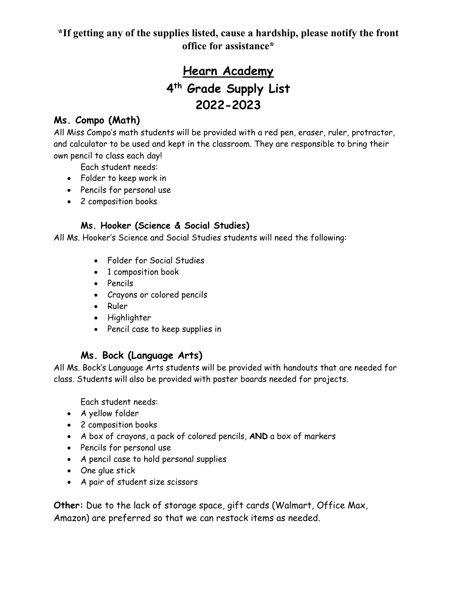# **Hearn Academy 4th Grade Supply List 2022-2023**

### **Ms. Compo (Math)**

All Miss Compo's math students will be provided with a red pen, eraser, ruler, protractor, and calculator to be used and kept in the classroom. They are responsible to bring their own pencil to class each day!

Each student needs:

- Folder to keep work in
- Pencils for personal use
- 2 composition books

### **Ms. Hooker (Science & Social Studies)**

All Ms. Hooker's Science and Social Studies students will need the following:

- Folder for Social Studies
- 1 composition book
- Pencils
- Crayons or colored pencils
- Ruler
- Highlighter
- Pencil case to keep supplies in

### **Ms. Bock (Language Arts)**

All Ms. Bock's Language Arts students will be provided with handouts that are needed for class. Students will also be provided with poster boards needed for projects.

Each student needs:

- A yellow folder
- 2 composition books
- A box of crayons, a pack of colored pencils, **AND** a box of markers
- Pencils for personal use
- A pencil case to hold personal supplies
- One glue stick
- A pair of student size scissors

**Other:** Due to the lack of storage space, gift cards (Walmart, Office Max, Amazon) are preferred so that we can restock items as needed.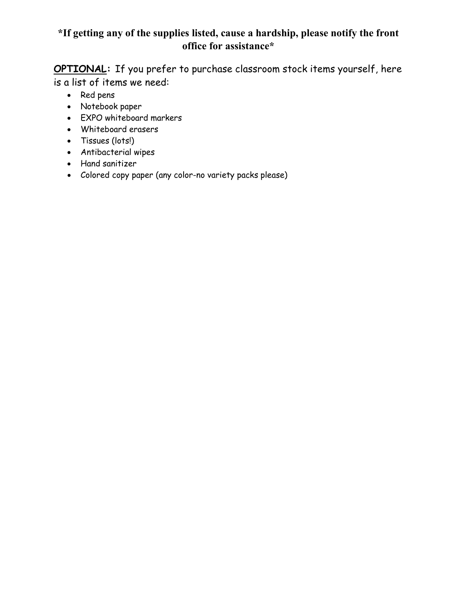**OPTIONAL:** If you prefer to purchase classroom stock items yourself, here is a list of items we need:

- Red pens
- Notebook paper
- EXPO whiteboard markers
- Whiteboard erasers
- Tissues (lots!)
- Antibacterial wipes
- Hand sanitizer
- Colored copy paper (any color-no variety packs please)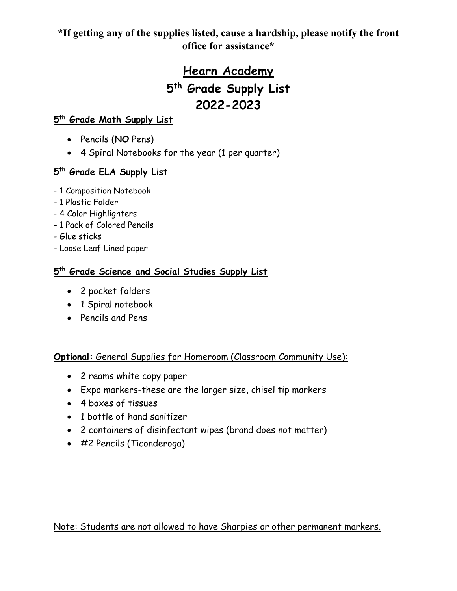# **Hearn Academy 5th Grade Supply List 2022-2023**

### **5th Grade Math Supply List**

- Pencils (**NO** Pens)
- 4 Spiral Notebooks for the year (1 per quarter)

### **5th Grade ELA Supply List**

- 1 Composition Notebook
- 1 Plastic Folder
- 4 Color Highlighters
- 1 Pack of Colored Pencils
- Glue sticks
- Loose Leaf Lined paper

### **5th Grade Science and Social Studies Supply List**

- 2 pocket folders
- 1 Spiral notebook
- Pencils and Pens

### **Optional:** General Supplies for Homeroom (Classroom Community Use):

- 2 reams white copy paper
- Expo markers-these are the larger size, chisel tip markers
- 4 boxes of tissues
- 1 bottle of hand sanitizer
- 2 containers of disinfectant wipes (brand does not matter)
- #2 Pencils (Ticonderoga)

Note: Students are not allowed to have Sharpies or other permanent markers.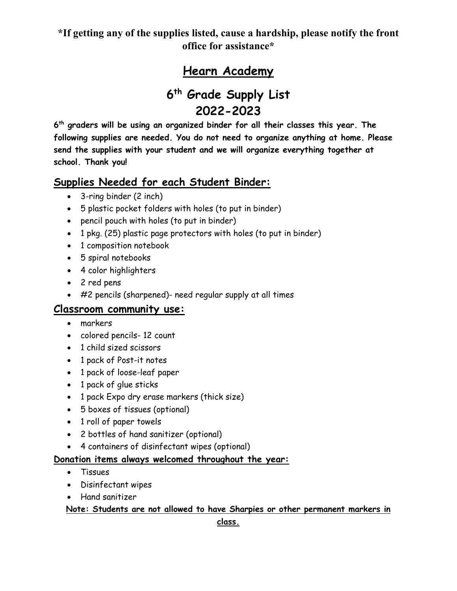## **Hearn Academy**

# **6th Grade Supply List 2022-2023**

**6th graders will be using an organized binder for all their classes this year. The following supplies are needed. You do not need to organize anything at home. Please send the supplies with your student and we will organize everything together at school. Thank you!**

### **Supplies Needed for each Student Binder:**

- 3-ring binder (2 inch)
- 5 plastic pocket folders with holes (to put in binder)
- pencil pouch with holes (to put in binder)
- 1 pkg. (25) plastic page protectors with holes (to put in binder)
- 1 composition notebook
- 5 spiral notebooks
- 4 color highlighters
- 2 red pens
- #2 pencils (sharpened)- need regular supply at all times

### **Classroom community use:**

- markers
- colored pencils- 12 count
- 1 child sized scissors
- 1 pack of Post-it notes
- 1 pack of loose-leaf paper
- 1 pack of glue sticks
- 1 pack Expo dry erase markers (thick size)
- 5 boxes of tissues (optional)
- 1 roll of paper towels
- 2 bottles of hand sanitizer (optional)
- 4 containers of disinfectant wipes (optional)

### **Donation items always welcomed throughout the year:**

- Tissues
- Disinfectant wipes
- Hand sanitizer

### **Note: Students are not allowed to have Sharpies or other permanent markers in**

**class.**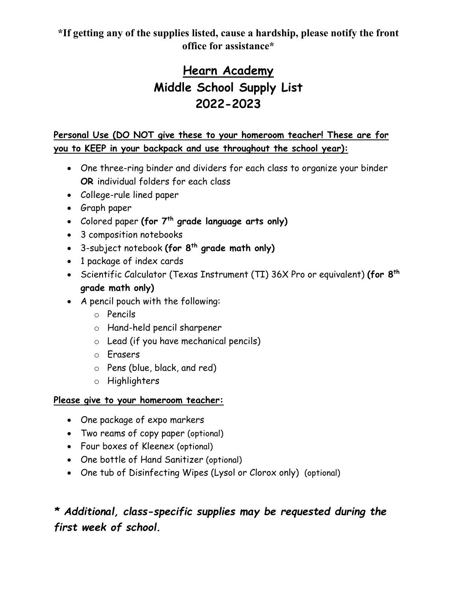# **Hearn Academy Middle School Supply List 2022-2023**

**Personal Use (DO NOT give these to your homeroom teacher! These are for you to KEEP in your backpack and use throughout the school year):** 

- One three-ring binder and dividers for each class to organize your binder **OR** individual folders for each class
- College-rule lined paper
- Graph paper
- Colored paper **(for 7th grade language arts only)**
- 3 composition notebooks
- 3-subject notebook **(for 8th grade math only)**
- 1 package of index cards
- Scientific Calculator (Texas Instrument (TI) 36X Pro or equivalent) **(for 8th grade math only)**
- A pencil pouch with the following:
	- o Pencils
	- o Hand-held pencil sharpener
	- o Lead (if you have mechanical pencils)
	- o Erasers
	- o Pens (blue, black, and red)
	- o Highlighters

### **Please give to your homeroom teacher:**

- One package of expo markers
- Two reams of copy paper (optional)
- Four boxes of Kleenex (optional)
- One bottle of Hand Sanitizer (optional)
- One tub of Disinfecting Wipes (Lysol or Clorox only) (optional)

## *\* Additional, class-specific supplies may be requested during the first week of school.*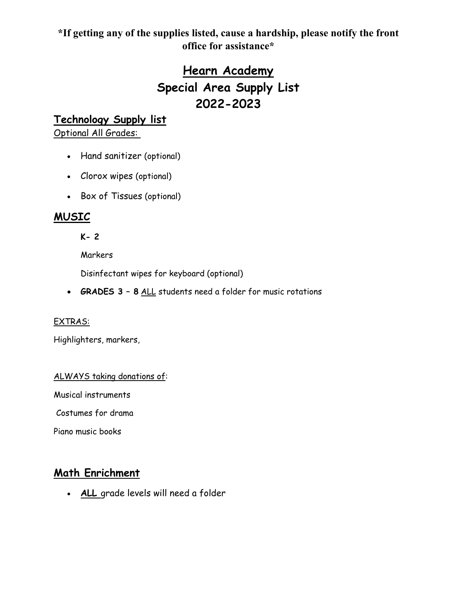# **Hearn Academy Special Area Supply List 2022-2023**

### **Technology Supply list**

Optional All Grades:

- Hand sanitizer (optional)
- Clorox wipes (optional)
- Box of Tissues (optional)

### **MUSIC**

**K- 2** 

**Markers** 

Disinfectant wipes for keyboard (optional)

• **GRADES 3 – 8** ALL students need a folder for music rotations

### EXTRAS:

Highlighters, markers,

#### ALWAYS taking donations of:

Musical instruments

Costumes for drama

Piano music books

### **Math Enrichment**

• **ALL** grade levels will need a folder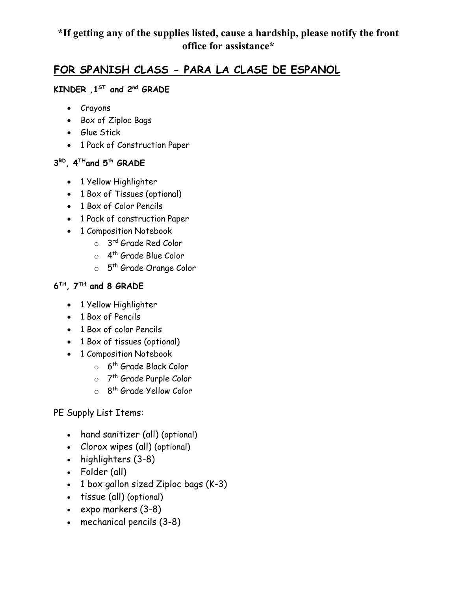### **FOR SPANISH CLASS - PARA LA CLASE DE ESPANOL**

### **KINDER ,1ST and 2nd GRADE**

- Crayons
- Box of Ziploc Bags
- Glue Stick
- 1 Pack of Construction Paper

### **3RD, 4THand 5th GRADE**

- 1 Yellow Highlighter
- 1 Box of Tissues (optional)
- 1 Box of Color Pencils
- 1 Pack of construction Paper
- 1 Composition Notebook
	- o 3rd Grade Red Color
	- o 4th Grade Blue Color
	- o 5<sup>th</sup> Grade Orange Color

### **6TH, 7TH and 8 GRADE**

- 1 Yellow Highlighter
- 1 Box of Pencils
- 1 Box of color Pencils
- 1 Box of tissues (optional)
- 1 Composition Notebook
	- $\circ$  6<sup>th</sup> Grade Black Color
	- o 7<sup>th</sup> Grade Purple Color
	- o 8<sup>th</sup> Grade Yellow Color

### PE Supply List Items:

- hand sanitizer (all) (optional)
- Clorox wipes (all) (optional)
- highlighters (3-8)
- Folder (all)
- 1 box gallon sized Ziploc bags (K-3)
- tissue (all) (optional)
- expo markers (3-8)
- mechanical pencils (3-8)